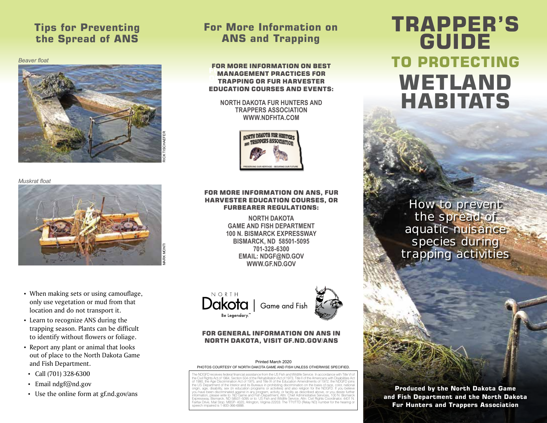### **Tips for Preventing the Spread of ANS**

*Beaver float* 



#### **For More Information on ANS and Trapping**

MANAGEMENT PRACTICES FOR TRAPPING OR FUR HARVESTER **EDUCATION COURSES AND EVENTS:** FURNATION OUTSIDED AND EVENTS FOR MORE INFORMATION ON BEST

**NORTH DAKOTA FUR HUNTERS AND TRAPPERS ASSOCIATION WWW.NDFHTA.COM**



*Muskrat float* 



- When making sets or using camouflage, only use vegetation or mud from that location and do not transport it.
- Learn to recognize ANS during the trapping season. Plants can be difficult to identify without flowers or foliage.
- Report any plant or animal that looks out of place to the North Dakota Game and Fish Department.
- Call (701) 328-6300
- Email ndgf@nd.gov
- Use the online form at gf.nd.gov/ans

#### FOR MORE INFORMATION ON ANS, FUR HARVESTER EDUCATION COURSES, OR FURBEARER REGULATIONS:

**NORTH DAKOTA GAME AND FISH DEPARTMENT 100 N. BISMARCK EXPRESSWAY BISMARCK, ND 58501-5095 701-328-6300 EMAIL: NDGF@ND.GOV WWW.GF.ND.GOV**





#### FOR GENERAL INFORMATION ON ANS IN NORTH DAKOTA, VISIT GF.ND.GOV/ANS

#### Printed March 2020 PHOTOS COURTESY OF NORTH DAKOTA GAME AND FISH UNLESS OTHERWISE SPECIFIED.

The NDGFD receives federal financial assistance from the US Fish and Wildlife Service. In accordance with Title VI of<br>the Civil Rights Act of 1964, Section 504 of the Rehabilitation Act of 1973, Title II of the Americans w of 1990, the Age Discrimination Act of 1975, and Title IX of the Education Amendments of 1972, the NDGFD joins<br>the US Department of the Interior and its Bureaus in prohibiting discrimination on the basis of race, color, na information, please write to: ND Game and Fish Department, Attn: Chief Administrative Services, 100 N. Bismarck<br>Expressway, Bismarck, ND 58501-5095 or to: US Fish and Wildlife Service, Attn: Civil Rights Coordinator, 4401 airfax Drive, Mail Stop: MBSP- 4020, Arlington, Virginia 22203. The TTY/TTD (Relay ND) number for the hearing c speech impaired is 1-800-366-6888.

# **TO PROTECTING WETLAND HABITATS TRAPPER'S GUIDE**

How to prevent the spread of aquatic nuisance species during trapping activities

**Produced by the North Dakota Game and Fish Department and the North Dakota Fur Hunters and Trappers Association**